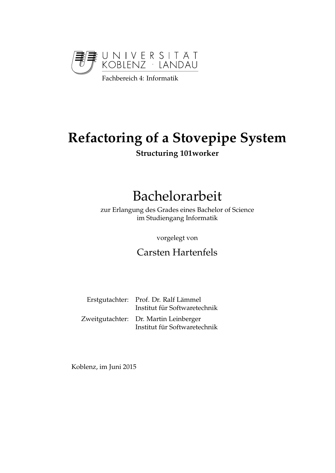

# **Refactoring of a Stovepipe System Structuring 101worker**

# Bachelorarbeit

zur Erlangung des Grades eines Bachelor of Science im Studiengang Informatik

vorgelegt von

Carsten Hartenfels

| Erstgutachter: Prof. Dr. Ralf Lämmel<br>Institut für Softwaretechnik  |
|-----------------------------------------------------------------------|
| Zweitgutachter: Dr. Martin Leinberger<br>Institut für Softwaretechnik |

Koblenz, im Juni 2015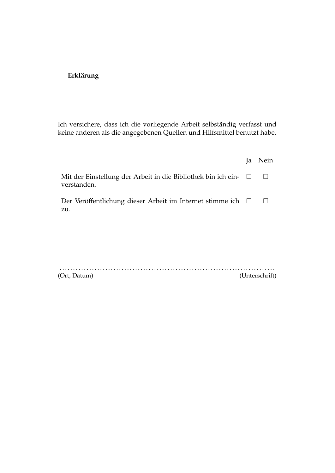### **Erklärung**

Ich versichere, dass ich die vorliegende Arbeit selbständig verfasst und keine anderen als die angegebenen Quellen und Hilfsmittel benutzt habe.

|                                                                              | Ja           | Nein |
|------------------------------------------------------------------------------|--------------|------|
| Mit der Einstellung der Arbeit in die Bibliothek bin ich ein-<br>verstanden. | $\mathbf{L}$ |      |
| Der Veröffentlichung dieser Arbeit im Internet stimme ich $\Box$<br>zu.      |              |      |
|                                                                              |              |      |

| (Ort, Datum) |  | (Unterschrift) |
|--------------|--|----------------|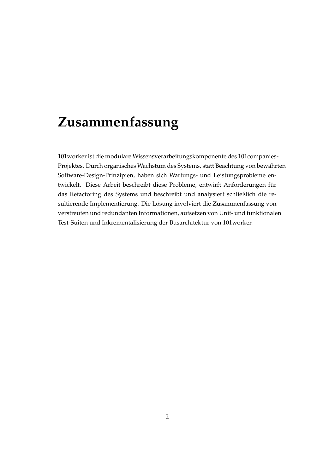# **Zusammenfassung**

101worker ist die modulare Wissensverarbeitungskomponente des 101companies-Projektes. Durch organisches Wachstum des Systems, statt Beachtung von bewahrten ¨ Software-Design-Prinzipien, haben sich Wartungs- und Leistungsprobleme entwickelt. Diese Arbeit beschreibt diese Probleme, entwirft Anforderungen für das Refactoring des Systems und beschreibt und analysiert schließlich die resultierende Implementierung. Die Lösung involviert die Zusammenfassung von verstreuten und redundanten Informationen, aufsetzen von Unit- und funktionalen Test-Suiten und Inkrementalisierung der Busarchitektur von 101worker.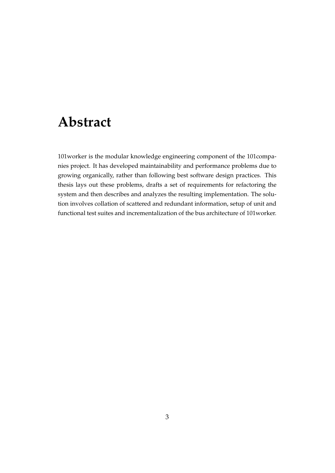# **Abstract**

101worker is the modular knowledge engineering component of the 101companies project. It has developed maintainability and performance problems due to growing organically, rather than following best software design practices. This thesis lays out these problems, drafts a set of requirements for refactoring the system and then describes and analyzes the resulting implementation. The solution involves collation of scattered and redundant information, setup of unit and functional test suites and incrementalization of the bus architecture of 101worker.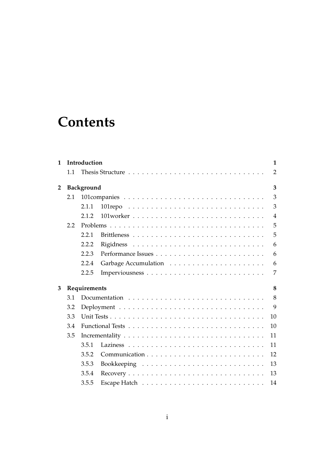# **Contents**

| 1              |     | Introduction<br>1                                                                          |  |
|----------------|-----|--------------------------------------------------------------------------------------------|--|
|                | 1.1 | 2                                                                                          |  |
| $\overline{2}$ |     | Background<br>3                                                                            |  |
|                | 2.1 | 3                                                                                          |  |
|                |     | 3<br>2.1.1                                                                                 |  |
|                |     | 2.1.2<br>$\overline{4}$                                                                    |  |
|                | 2.2 | 5                                                                                          |  |
|                |     | 5<br>2.2.1                                                                                 |  |
|                |     | 2.2.2<br>6                                                                                 |  |
|                |     | 2.2.3<br>6                                                                                 |  |
|                |     | 2.2.4<br>6                                                                                 |  |
|                |     | 2.2.5<br>7                                                                                 |  |
| 3              |     | Requirements<br>8                                                                          |  |
|                | 3.1 | 8<br>Documentation $\ldots \ldots \ldots \ldots \ldots \ldots \ldots \ldots \ldots \ldots$ |  |
|                | 3.2 | 9                                                                                          |  |
|                | 3.3 | 10                                                                                         |  |
|                | 3.4 | 10                                                                                         |  |
|                | 3.5 | 11                                                                                         |  |
|                |     | 3.5.1<br>11                                                                                |  |
|                |     | 3.5.2<br>12                                                                                |  |
|                |     | 3.5.3<br>13                                                                                |  |
|                |     | 3.5.4<br>13                                                                                |  |
|                |     | 3.5.5<br>14                                                                                |  |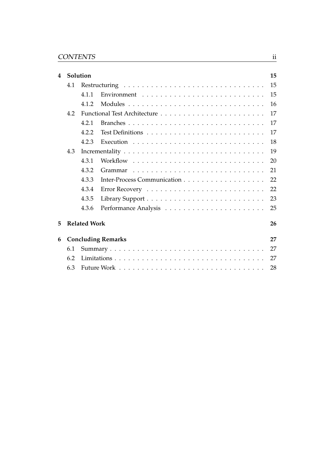| 4 |     | Solution            |                           | 15 |
|---|-----|---------------------|---------------------------|----|
|   | 4.1 |                     |                           | 15 |
|   |     | 4.1.1               |                           | 15 |
|   |     | 4.1.2               |                           | 16 |
|   | 4.2 |                     |                           | 17 |
|   |     | 4.2.1               |                           | 17 |
|   |     | 4.2.2               |                           | 17 |
|   |     | 4.2.3               |                           | 18 |
|   | 4.3 |                     |                           | 19 |
|   |     | 4.3.1               |                           | 20 |
|   |     | 4.3.2               |                           | 21 |
|   |     | 4.3.3               |                           | 22 |
|   |     | 4.3.4               |                           | 22 |
|   |     | 4.3.5               |                           | 23 |
|   |     | 4.3.6               |                           | 25 |
| 5 |     | <b>Related Work</b> |                           | 26 |
| 6 |     |                     | <b>Concluding Remarks</b> | 27 |
|   | 6.1 |                     |                           | 27 |
|   | 6.2 |                     |                           | 27 |
|   | 6.3 |                     |                           | 28 |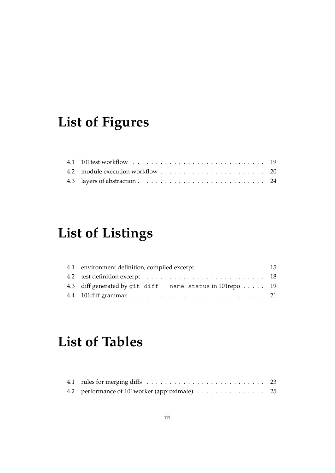# **List of Figures**

# **List of Listings**

| 4.1 environment definition, compiled excerpt 15                       |  |
|-----------------------------------------------------------------------|--|
|                                                                       |  |
| 4.3 diff generated by git diff --name-status in 101 repo $\dots$ . 19 |  |
|                                                                       |  |

# **List of Tables**

| 4.2 performance of 101worker (approximate) 25 |  |
|-----------------------------------------------|--|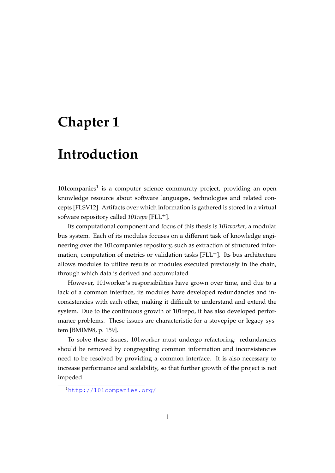# <span id="page-7-0"></span>**Chapter 1**

## **Introduction**

[1](#page-7-1)01 $\mathsf{companies}^1$  is a computer science community project, providing an open knowledge resource about software languages, technologies and related concepts [\[FLSV12\]](#page-35-0). Artifacts over which information is gathered is stored in a virtual sofware repository called  $101$ *repo* [\[FLL](#page-35-1)<sup>+</sup>].

Its computational component and focus of this thesis is *101worker*, a modular bus system. Each of its modules focuses on a different task of knowledge engineering over the 101companies repository, such as extraction of structured information, computation of metrics or validation tasks  $[FLL^+]$  $[FLL^+]$ . Its bus architecture allows modules to utilize results of modules executed previously in the chain, through which data is derived and accumulated.

However, 101worker's responsibilities have grown over time, and due to a lack of a common interface, its modules have developed redundancies and inconsistencies with each other, making it difficult to understand and extend the system. Due to the continuous growth of 101repo, it has also developed performance problems. These issues are characteristic for a stovepipe or legacy system [\[BMIM98,](#page-35-2) p. 159].

To solve these issues, 101worker must undergo refactoring: redundancies should be removed by congregating common information and inconsistencies need to be resolved by providing a common interface. It is also necessary to increase performance and scalability, so that further growth of the project is not impeded.

<span id="page-7-1"></span><sup>1</sup><http://101companies.org/>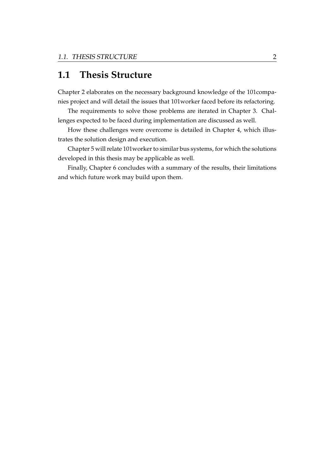## <span id="page-8-0"></span>**1.1 Thesis Structure**

Chapter [2](#page-9-0) elaborates on the necessary background knowledge of the 101companies project and will detail the issues that 101worker faced before its refactoring.

The requirements to solve those problems are iterated in Chapter [3.](#page-14-0) Challenges expected to be faced during implementation are discussed as well.

How these challenges were overcome is detailed in Chapter [4,](#page-21-0) which illustrates the solution design and execution.

Chapter [5](#page-32-0) will relate 101worker to similar bus systems, for which the solutions developed in this thesis may be applicable as well.

Finally, Chapter [6](#page-33-0) concludes with a summary of the results, their limitations and which future work may build upon them.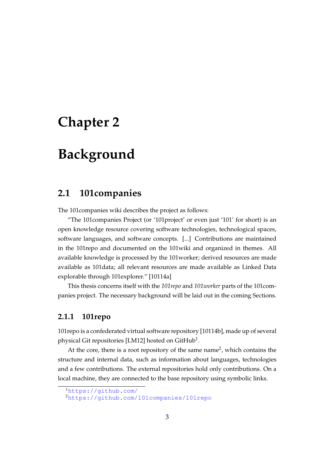# <span id="page-9-0"></span>**Chapter 2**

## **Background**

## <span id="page-9-1"></span>**2.1 101companies**

The 101companies wiki describes the project as follows:

"The 101companies Project (or '101project' or even just '101' for short) is an open knowledge resource covering software technologies, technological spaces, software languages, and software concepts. [...] Contributions are maintained in the 101repo and documented on the 101wiki and organized in themes. All available knowledge is processed by the 101worker; derived resources are made available as 101data; all relevant resources are made available as Linked Data explorable through 101explorer." [\[10114a\]](#page-35-3)

This thesis concerns itself with the *101repo* and *101worker* parts of the 101companies project. The necessary background will be laid out in the coming Sections.

### <span id="page-9-2"></span>**2.1.1 101repo**

101repo is a confederated virtual software repository [\[10114b\]](#page-35-4), made up of several physical Git repositories [\[LM12\]](#page-36-0) hosted on GitHub $^{\rm 1}$  $^{\rm 1}$  $^{\rm 1}$ .

At the core, there is a root repository of the same name<sup>[2](#page-9-4)</sup>, which contains the structure and internal data, such as information about languages, technologies and a few contributions. The external repositories hold only contributions. On a local machine, they are connected to the base repository using symbolic links.

<span id="page-9-3"></span><sup>1</sup><https://github.com/>

<span id="page-9-4"></span><sup>2</sup><https://github.com/101companies/101repo>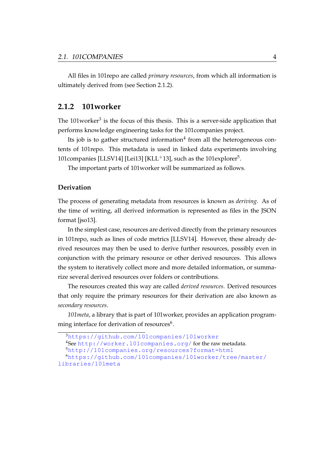All files in 101repo are called *primary resources*, from which all information is ultimately derived from (see Section [2.1.2\)](#page-10-1).

#### <span id="page-10-0"></span>**2.1.2 101worker**

The 101worker<sup>[3](#page-10-2)</sup> is the focus of this thesis. This is a server-side application that performs knowledge engineering tasks for the 101companies project.

Its job is to gather structured information<sup>[4](#page-10-3)</sup> from all the heterogeneous contents of 101repo. This metadata is used in linked data experiments involving 101companies [\[LLSV14\]](#page-36-1) [\[Lei13\]](#page-36-2) [\[KLL](#page-36-3)<sup>+</sup>13], such as the 101explorer<sup>[5](#page-10-4)</sup>.

The important parts of 101worker will be summarized as follows.

#### <span id="page-10-1"></span>**Derivation**

The process of generating metadata from resources is known as *deriving*. As of the time of writing, all derived information is represented as files in the JSON format [\[jso13\]](#page-35-5).

In the simplest case, resources are derived directly from the primary resources in 101repo, such as lines of code metrics [\[LLSV14\]](#page-36-1). However, these already derived resources may then be used to derive further resources, possibly even in conjunction with the primary resource or other derived resources. This allows the system to iteratively collect more and more detailed information, or summarize several derived resources over folders or contributions.

The resources created this way are called *derived resources*. Derived resources that only require the primary resources for their derivation are also known as *secondary resources*.

*101meta*, a library that is part of 101worker, provides an application programming interface for derivation of resources $^6$  $^6$ .

<span id="page-10-2"></span><sup>3</sup><https://github.com/101companies/101worker>

<span id="page-10-3"></span><sup>4</sup>See <http://worker.101companies.org/> for the raw metadata.

<span id="page-10-5"></span><span id="page-10-4"></span><sup>5</sup><http://101companies.org/resources?format=html>

<sup>6</sup>[https://github.com/101companies/101worker/tree/master/](https://github.com/101companies/101worker/tree/master/libraries/101meta) [libraries/101meta](https://github.com/101companies/101worker/tree/master/libraries/101meta)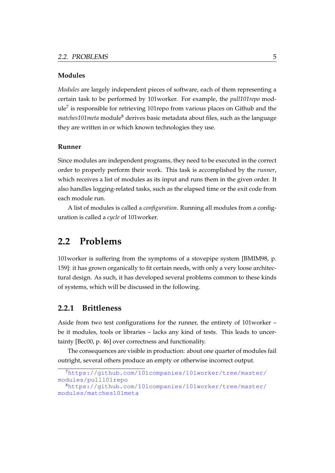#### **Modules**

*Modules* are largely independent pieces of software, each of them representing a certain task to be performed by 101worker. For example, the *pull101repo* mod-ule<sup>[7](#page-11-2)</sup> is responsible for retrieving 101repo from various places on Github and the *matches101 meta* module<sup>[8](#page-11-3)</sup> derives basic metadata about files, such as the language they are written in or which known technologies they use.

#### **Runner**

Since modules are independent programs, they need to be executed in the correct order to properly perform their work. This task is accomplished by the *runner*, which receives a list of modules as its input and runs them in the given order. It also handles logging-related tasks, such as the elapsed time or the exit code from each module run.

A list of modules is called a *configuration*. Running all modules from a configuration is called a *cycle* of 101worker.

## <span id="page-11-0"></span>**2.2 Problems**

101worker is suffering from the symptoms of a stovepipe system [\[BMIM98,](#page-35-2) p. 159]: it has grown organically to fit certain needs, with only a very loose architectural design. As such, it has developed several problems common to these kinds of systems, which will be discussed in the following.

#### <span id="page-11-1"></span>**2.2.1 Brittleness**

Aside from two test configurations for the runner, the entirety of 101worker – be it modules, tools or libraries – lacks any kind of tests. This leads to uncertainty [\[Bec00,](#page-35-6) p. 46] over correctness and functionality.

The consequences are visible in production: about one quarter of modules fail outright, several others produce an empty or otherwise incorrect output.

<span id="page-11-2"></span><sup>7</sup>[https://github.com/101companies/101worker/tree/master/](https://github.com/101companies/101worker/tree/master/modules/pull101repo) [modules/pull101repo](https://github.com/101companies/101worker/tree/master/modules/pull101repo)

<span id="page-11-3"></span><sup>8</sup>[https://github.com/101companies/101worker/tree/master/](https://github.com/101companies/101worker/tree/master/modules/matches101meta) [modules/matches101meta](https://github.com/101companies/101worker/tree/master/modules/matches101meta)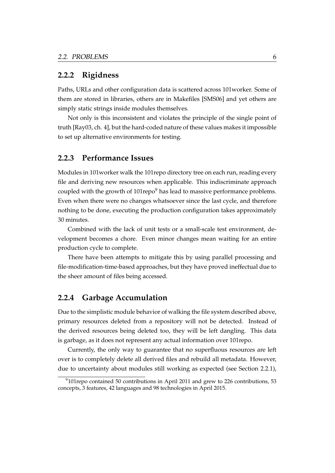#### <span id="page-12-0"></span>**2.2.2 Rigidness**

Paths, URLs and other configuration data is scattered across 101worker. Some of them are stored in libraries, others are in Makefiles [\[SMS06\]](#page-36-4) and yet others are simply static strings inside modules themselves.

Not only is this inconsistent and violates the principle of the single point of truth [\[Ray03,](#page-36-5) ch. 4], but the hard-coded nature of these values makes it impossible to set up alternative environments for testing.

### <span id="page-12-1"></span>**2.2.3 Performance Issues**

Modules in 101worker walk the 101repo directory tree on each run, reading every file and deriving new resources when applicable. This indiscriminate approach coupled with the growth of  $101$ repo<sup>[9](#page-12-3)</sup> has lead to massive performance problems. Even when there were no changes whatsoever since the last cycle, and therefore nothing to be done, executing the production configuration takes approximately 30 minutes.

Combined with the lack of unit tests or a small-scale test environment, development becomes a chore. Even minor changes mean waiting for an entire production cycle to complete.

There have been attempts to mitigate this by using parallel processing and file-modification-time-based approaches, but they have proved ineffectual due to the sheer amount of files being accessed.

### <span id="page-12-2"></span>**2.2.4 Garbage Accumulation**

Due to the simplistic module behavior of walking the file system described above, primary resources deleted from a repository will not be detected. Instead of the derived resources being deleted too, they will be left dangling. This data is garbage, as it does not represent any actual information over 101repo.

Currently, the only way to guarantee that no superfluous resources are left over is to completely delete all derived files and rebuild all metadata. However, due to uncertainty about modules still working as expected (see Section [2.2.1\)](#page-11-1),

<span id="page-12-3"></span> $9101$ repo contained 50 contributions in April 2011 and grew to 226 contributions, 53 concepts, 3 features, 42 languages and 98 technologies in April 2015.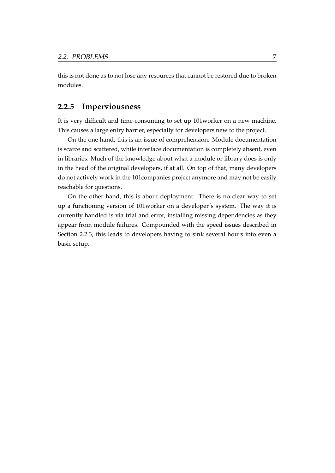this is not done as to not lose any resources that cannot be restored due to broken modules.

### <span id="page-13-0"></span>**2.2.5 Imperviousness**

It is very difficult and time-consuming to set up 101worker on a new machine. This causes a large entry barrier, especially for developers new to the project.

On the one hand, this is an issue of comprehension. Module documentation is scarce and scattered, while interface documentation is completely absent, even in libraries. Much of the knowledge about what a module or library does is only in the head of the original developers, if at all. On top of that, many developers do not actively work in the 101companies project anymore and may not be easily reachable for questions.

On the other hand, this is about deployment. There is no clear way to set up a functioning version of 101worker on a developer's system. The way it is currently handled is via trial and error, installing missing dependencies as they appear from module failures. Compounded with the speed issues described in Section [2.2.3,](#page-12-1) this leads to developers having to sink several hours into even a basic setup.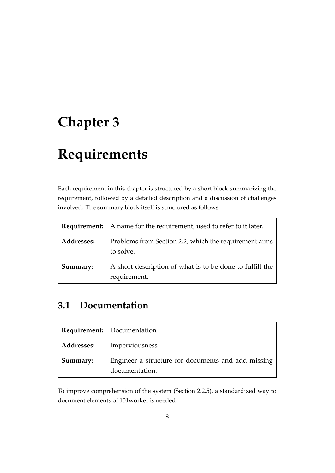# <span id="page-14-0"></span>**Chapter 3**

# **Requirements**

Each requirement in this chapter is structured by a short block summarizing the requirement, followed by a detailed description and a discussion of challenges involved. The summary block itself is structured as follows:

|            | <b>Requirement:</b> A name for the requirement, used to refer to it later. |
|------------|----------------------------------------------------------------------------|
| Addresses: | Problems from Section 2.2, which the requirement aims<br>to solve.         |
| Summary:   | A short description of what is to be done to fulfill the<br>requirement.   |

## <span id="page-14-1"></span>**3.1 Documentation**

|          | <b>Requirement:</b> Documentation                                    |
|----------|----------------------------------------------------------------------|
|          | <b>Addresses:</b> Imperviousness                                     |
| Summary: | Engineer a structure for documents and add missing<br>documentation. |

To improve comprehension of the system (Section [2.2.5\)](#page-13-0), a standardized way to document elements of 101worker is needed.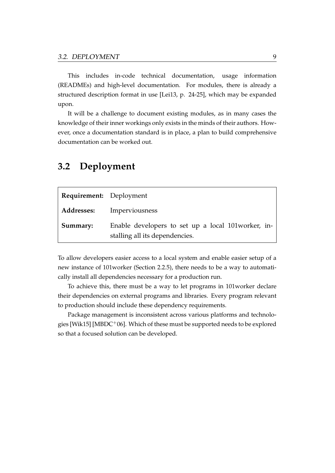This includes in-code technical documentation, usage information (READMEs) and high-level documentation. For modules, there is already a structured description format in use [\[Lei13,](#page-36-2) p. 24-25], which may be expanded upon.

It will be a challenge to document existing modules, as in many cases the knowledge of their inner workings only exists in the minds of their authors. However, once a documentation standard is in place, a plan to build comprehensive documentation can be worked out.

| <b>Requirement:</b> Deployment |                                                                                       |
|--------------------------------|---------------------------------------------------------------------------------------|
| <b>Addresses:</b>              | Imperviousness                                                                        |
| Summary:                       | Enable developers to set up a local 101 worker, in-<br>stalling all its dependencies. |

## <span id="page-15-0"></span>**3.2 Deployment**

To allow developers easier access to a local system and enable easier setup of a new instance of 101worker (Section [2.2.5\)](#page-13-0), there needs to be a way to automatically install all dependencies necessary for a production run.

To achieve this, there must be a way to let programs in 101worker declare their dependencies on external programs and libraries. Every program relevant to production should include these dependency requirements.

Package management is inconsistent across various platforms and technologies [\[Wik15\]](#page-37-0) [\[MBDC](#page-36-6)+06]. Which of these must be supported needs to be explored so that a focused solution can be developed.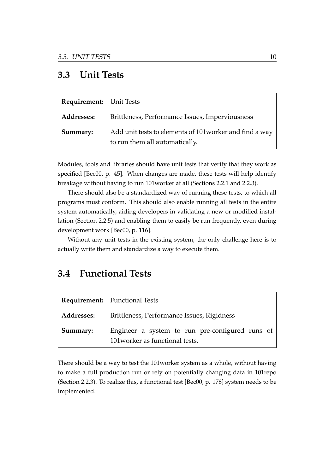## <span id="page-16-0"></span>**3.3 Unit Tests**

| <b>Requirement:</b> Unit Tests |                                                                                           |
|--------------------------------|-------------------------------------------------------------------------------------------|
| <b>Addresses:</b>              | Brittleness, Performance Issues, Imperviousness                                           |
| Summary:                       | Add unit tests to elements of 101 worker and find a way<br>to run them all automatically. |

Modules, tools and libraries should have unit tests that verify that they work as specified [\[Bec00,](#page-35-6) p. 45]. When changes are made, these tests will help identify breakage without having to run 101worker at all (Sections [2.2.1](#page-11-1) and [2.2.3\)](#page-12-1).

There should also be a standardized way of running these tests, to which all programs must conform. This should also enable running all tests in the entire system automatically, aiding developers in validating a new or modified installation (Section [2.2.5\)](#page-13-0) and enabling them to easily be run frequently, even during development work [\[Bec00,](#page-35-6) p. 116].

Without any unit tests in the existing system, the only challenge here is to actually write them and standardize a way to execute them.

## <span id="page-16-1"></span>**3.4 Functional Tests**

|                   | <b>Requirement:</b> Functional Tests                                               |  |  |
|-------------------|------------------------------------------------------------------------------------|--|--|
| <b>Addresses:</b> | Brittleness, Performance Issues, Rigidness                                         |  |  |
| Summary:          | Engineer a system to run pre-configured runs of<br>101 worker as functional tests. |  |  |

There should be a way to test the 101worker system as a whole, without having to make a full production run or rely on potentially changing data in 101repo (Section [2.2.3\)](#page-12-1). To realize this, a functional test [\[Bec00,](#page-35-6) p. 178] system needs to be implemented.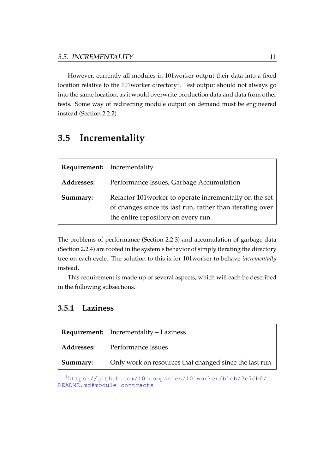However, currently all modules in 101worker output their data into a fixed location relative to the [1](#page-17-2)01worker directory $^1\!\!$  . Test output should not always go into the same location, as it would overwrite production data and data from other tests. Some way of redirecting module output on demand must be engineered instead (Section [2.2.2\)](#page-12-0).

## <span id="page-17-0"></span>**3.5 Incrementality**

|            | <b>Requirement:</b> Incrementality                                                                                                                         |  |
|------------|------------------------------------------------------------------------------------------------------------------------------------------------------------|--|
| Addresses: | Performance Issues, Garbage Accumulation                                                                                                                   |  |
| Summary:   | Refactor 101worker to operate incrementally on the set<br>of changes since its last run, rather than iterating over<br>the entire repository on every run. |  |

The problems of performance (Section [2.2.3\)](#page-12-1) and accumulation of garbage data (Section [2.2.4\)](#page-12-2) are rooted in the system's behavior of simply iterating the directory tree on each cycle. The solution to this is for 101worker to behave *incrementally* instead.

This requirement is made up of several aspects, which will each be described in the following subsections.

### <span id="page-17-1"></span>**3.5.1 Laziness**

|          | <b>Requirement:</b> Incrementality – Laziness           |  |
|----------|---------------------------------------------------------|--|
|          | <b>Addresses:</b> Performance Issues                    |  |
| Summary: | Only work on resources that changed since the last run. |  |

<span id="page-17-2"></span><sup>1</sup>[https://github.com/101companies/101worker/blob/3c7db0/](https://github.com/101companies/101worker/blob/3c7db0/README.md#module-contracts) [README.md#module-contracts](https://github.com/101companies/101worker/blob/3c7db0/README.md#module-contracts)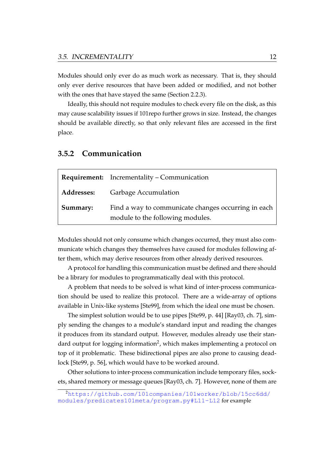Modules should only ever do as much work as necessary. That is, they should only ever derive resources that have been added or modified, and not bother with the ones that have stayed the same (Section [2.2.3\)](#page-12-1).

Ideally, this should not require modules to check every file on the disk, as this may cause scalability issues if 101repo further grows in size. Instead, the changes should be available directly, so that only relevant files are accessed in the first place.

## **Requirement:** [Incrementality](#page-17-0) – [Communication](#page-18-0) **Addresses:** [Garbage Accumulation](#page-12-2) **Summary:** Find a way to communicate changes occurring in each module to the following modules.

### <span id="page-18-0"></span>**3.5.2 Communication**

Modules should not only consume which changes occurred, they must also communicate which changes they themselves have caused for modules following after them, which may derive resources from other already derived resources.

A protocol for handling this communication must be defined and there should be a library for modules to programmatically deal with this protocol.

A problem that needs to be solved is what kind of inter-process communication should be used to realize this protocol. There are a wide-array of options available in Unix-like systems [\[Ste99\]](#page-36-7), from which the ideal one must be chosen.

The simplest solution would be to use pipes [\[Ste99,](#page-36-7) p. 44] [\[Ray03,](#page-36-5) ch. 7], simply sending the changes to a module's standard input and reading the changes it produces from its standard output. However, modules already use their stan-dard output for logging information<sup>[2](#page-18-1)</sup>, which makes implementing a protocol on top of it problematic. These bidirectional pipes are also prone to causing deadlock [\[Ste99,](#page-36-7) p. 56], which would have to be worked around.

Other solutions to inter-process communication include temporary files, sockets, shared memory or message queues [\[Ray03,](#page-36-5) ch. 7]. However, none of them are

<span id="page-18-1"></span><sup>2</sup>[https://github.com/101companies/101worker/blob/15cc6dd/](https://github.com/101companies/101worker/blob/15cc6dd/modules/predicates101meta/program.py#L11-L12) [modules/predicates101meta/program.py#L11-L12](https://github.com/101companies/101worker/blob/15cc6dd/modules/predicates101meta/program.py#L11-L12) for example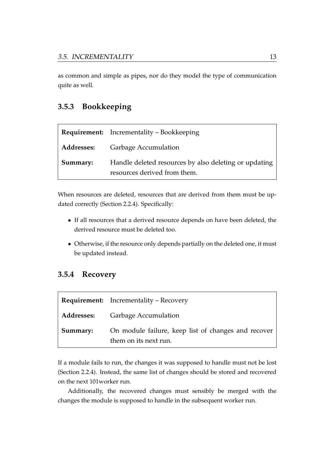as common and simple as pipes, nor do they model the type of communication quite as well.

### <span id="page-19-0"></span>**3.5.3 Bookkeeping**

|                   | <b>Requirement:</b> Incrementality – Bookkeeping                                      |  |
|-------------------|---------------------------------------------------------------------------------------|--|
| <b>Addresses:</b> | <b>Garbage Accumulation</b>                                                           |  |
| Summary:          | Handle deleted resources by also deleting or updating<br>resources derived from them. |  |

When resources are deleted, resources that are derived from them must be updated correctly (Section [2.2.4\)](#page-12-2). Specifically:

- If all resources that a derived resource depends on have been deleted, the derived resource must be deleted too.
- Otherwise, if the resource only depends partially on the deleted one, it must be updated instead.

### <span id="page-19-1"></span>**3.5.4 Recovery**

|          | <b>Requirement:</b> Incrementality – Recovery                                |  |
|----------|------------------------------------------------------------------------------|--|
|          | <b>Addresses:</b> Garbage Accumulation                                       |  |
| Summary: | On module failure, keep list of changes and recover<br>them on its next run. |  |

If a module fails to run, the changes it was supposed to handle must not be lost (Section [2.2.4\)](#page-12-2). Instead, the same list of changes should be stored and recovered on the next 101worker run.

Additionally, the recovered changes must sensibly be merged with the changes the module is supposed to handle in the subsequent worker run.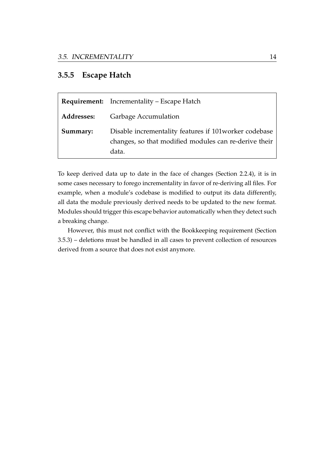### <span id="page-20-0"></span>**3.5.5 Escape Hatch**

|                   | <b>Requirement:</b> Incrementality – Escape Hatch                                                                        |  |
|-------------------|--------------------------------------------------------------------------------------------------------------------------|--|
| <b>Addresses:</b> | <b>Garbage Accumulation</b>                                                                                              |  |
| Summary:          | Disable incrementality features if 101 worker codebase<br>changes, so that modified modules can re-derive their<br>data. |  |

To keep derived data up to date in the face of changes (Section [2.2.4\)](#page-12-2), it is in some cases necessary to forego incrementality in favor of re-deriving all files. For example, when a module's codebase is modified to output its data differently, all data the module previously derived needs to be updated to the new format. Modules should trigger this escape behavior automatically when they detect such a breaking change.

However, this must not conflict with the Bookkeeping requirement (Section [3.5.3\)](#page-19-0) – deletions must be handled in all cases to prevent collection of resources derived from a source that does not exist anymore.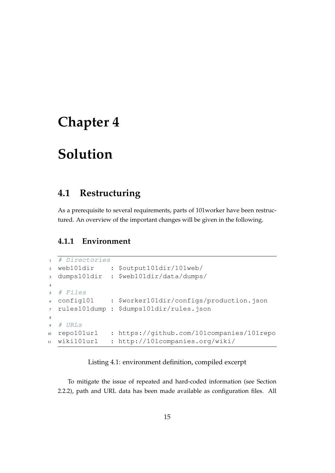## <span id="page-21-0"></span>**Chapter 4**

# **Solution**

## <span id="page-21-1"></span>**4.1 Restructuring**

As a prerequisite to several requirements, parts of 101worker have been restructured. An overview of the important changes will be given in the following.

### <span id="page-21-2"></span>**4.1.1 Environment**

```
1 # Directories
2 web101dir : $output101dir/101web/
3 dumps101dir : $web101dir/data/dumps/
4
5 # Files
6 config101 : $worker101dir/configs/production.json
7 rules101dump : $dumps101dir/rules.json
8
9 # URLs
10 repo101url : https://github.com/101companies/101repo
11 wiki101url : http://101companies.org/wiki/
```
Listing 4.1: environment definition, compiled excerpt

<span id="page-21-3"></span>To mitigate the issue of repeated and hard-coded information (see Section [2.2.2\)](#page-12-0), path and URL data has been made available as configuration files. All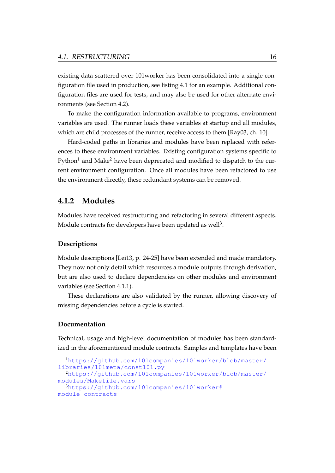existing data scattered over 101worker has been consolidated into a single configuration file used in production, see listing [4.1](#page-21-3) for an example. Additional configuration files are used for tests, and may also be used for other alternate environments (see Section [4.2\)](#page-23-0).

To make the configuration information available to programs, environment variables are used. The runner loads these variables at startup and all modules, which are child processes of the runner, receive access to them [\[Ray03,](#page-36-5) ch. 10].

Hard-coded paths in libraries and modules have been replaced with references to these environment variables. Existing configuration systems specific to Python<sup>[1](#page-22-1)</sup> and Make<sup>[2](#page-22-2)</sup> have been deprecated and modified to dispatch to the current environment configuration. Once all modules have been refactored to use the environment directly, these redundant systems can be removed.

### <span id="page-22-0"></span>**4.1.2 Modules**

Modules have received restructuring and refactoring in several different aspects. Module contracts for developers have been updated as well $^3$  $^3$ .

#### **Descriptions**

Module descriptions [\[Lei13,](#page-36-2) p. 24-25] have been extended and made mandatory. They now not only detail which resources a module outputs through derivation, but are also used to declare dependencies on other modules and environment variables (see Section [4.1.1\)](#page-21-2).

These declarations are also validated by the runner, allowing discovery of missing dependencies before a cycle is started.

#### **Documentation**

Technical, usage and high-level documentation of modules has been standardized in the aforementioned module contracts. Samples and templates have been

<span id="page-22-3"></span><span id="page-22-2"></span><span id="page-22-1"></span><sup>1</sup>[https://github.com/101companies/101worker/blob/master/](https://github.com/101companies/101worker/blob/master/libraries/101meta/const101.py) [libraries/101meta/const101.py](https://github.com/101companies/101worker/blob/master/libraries/101meta/const101.py) <sup>2</sup>[https://github.com/101companies/101worker/blob/master/](https://github.com/101companies/101worker/blob/master/modules/Makefile.vars) [modules/Makefile.vars](https://github.com/101companies/101worker/blob/master/modules/Makefile.vars) <sup>3</sup>[https://github.com/101companies/101worker#](https://github.com/101companies/101worker#module-contracts) [module-contracts](https://github.com/101companies/101worker#module-contracts)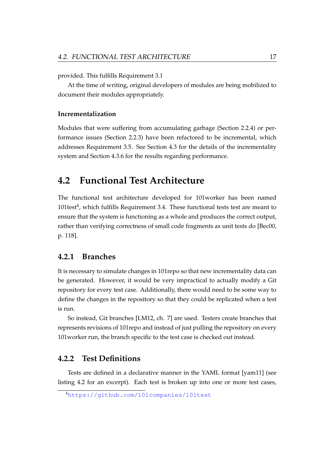provided. This fulfills Requirement [3.1](#page-14-1)

At the time of writing, original developers of modules are being mobilized to document their modules appropriately.

#### **Incrementalization**

Modules that were suffering from accumulating garbage (Section [2.2.4\)](#page-12-2) or performance issues (Section [2.2.3\)](#page-12-1) have been refactored to be incremental, which addresses Requirement [3.5.](#page-17-0) See Section [4.3](#page-25-0) for the details of the incrementality system and Section [4.3.6](#page-31-0) for the results regarding performance.

### <span id="page-23-0"></span>**4.2 Functional Test Architecture**

The functional test architecture developed for 101worker has been named 101 $test<sup>4</sup>$  $test<sup>4</sup>$  $test<sup>4</sup>$ , which fulfills Requirement [3.4.](#page-16-1) These functional tests test are meant to ensure that the system is functioning as a whole and produces the correct output, rather than verifying correctness of small code fragments as unit tests do [\[Bec00,](#page-35-6) p. 118].

### <span id="page-23-1"></span>**4.2.1 Branches**

It is necessary to simulate changes in 101repo so that new incrementality data can be generated. However, it would be very impractical to actually modify a Git repository for every test case. Additionally, there would need to be some way to define the changes in the repository so that they could be replicated when a test is run.

So instead, Git branches [\[LM12,](#page-36-0) ch. 7] are used. Testers create branches that represents revisions of 101repo and instead of just pulling the repository on every 101worker run, the branch specific to the test case is checked out instead.

#### <span id="page-23-2"></span>**4.2.2 Test Definitions**

Tests are defined in a declarative manner in the YAML format [\[yam11\]](#page-37-1) (see listing [4.2](#page-24-1) for an excerpt). Each test is broken up into one or more test cases,

<span id="page-23-3"></span><sup>4</sup><https://github.com/101companies/101test>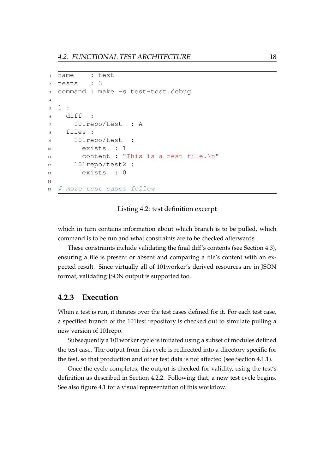```
1 name : test
2 tests : 3
3 command : make -s test-test.debug
4
5 1 :
6 diff :
7 101repo/test : A
8 files :
9 101repo/test :
10 exists : 1
11 content : "This is a test file.\n"
12 101repo/test2 :
13 exists : 0
14
15 # more test cases follow
```
#### Listing 4.2: test definition excerpt

<span id="page-24-1"></span>which in turn contains information about which branch is to be pulled, which command is to be run and what constraints are to be checked afterwards.

These constraints include validating the final diff's contents (see Section [4.3\)](#page-25-0), ensuring a file is present or absent and comparing a file's content with an expected result. Since virtually all of 101worker's derived resources are in JSON format, validating JSON output is supported too.

#### <span id="page-24-0"></span>**4.2.3 Execution**

When a test is run, it iterates over the test cases defined for it. For each test case, a specified branch of the 101test repository is checked out to simulate pulling a new version of 101repo.

Subsequently a 101worker cycle is initiated using a subset of modules defined the test case. The output from this cycle is redirected into a directory specific for the test, so that production and other test data is not affected (see Section [4.1.1\)](#page-21-2).

Once the cycle completes, the output is checked for validity, using the test's definition as described in Section [4.2.2.](#page-23-2) Following that, a new test cycle begins. See also figure [4.1](#page-25-1) for a visual representation of this workflow.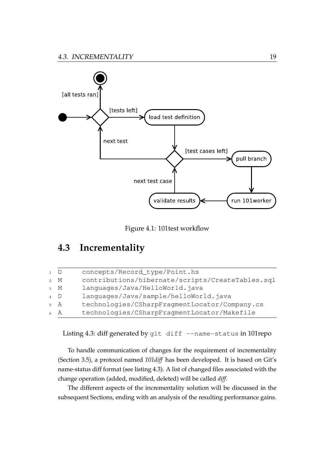

Figure 4.1: 101test workflow

## <span id="page-25-1"></span><span id="page-25-0"></span>**4.3 Incrementality**

| $\overline{1}$ D |               | concepts/Record_type/Point.hs                    |
|------------------|---------------|--------------------------------------------------|
|                  | 2 M           | contributions/hibernate/scripts/CreateTables.sql |
|                  | $_3$ M        | languages/Java/HelloWorld.java                   |
| $\overline{4}$ D |               | languages/Java/sample/helloWorld.java            |
|                  | $5 \text{ A}$ | technologies/CSharpFragmentLocator/Company.cs    |
|                  | 6 A           | technologies/CSharpFragmentLocator/Makefile      |
|                  |               |                                                  |

<span id="page-25-2"></span>Listing 4.3: diff generated by git diff --name-status in 101repo

To handle communication of changes for the requirement of incrementality (Section [3.5\)](#page-17-0), a protocol named *101diff* has been developed. It is based on Git's name-status diff format (see listing [4.3\)](#page-25-2). A list of changed files associated with the change operation (added, modified, deleted) will be called *diff*.

The different aspects of the incrementality solution will be discussed in the subsequent Sections, ending with an analysis of the resulting performance gains.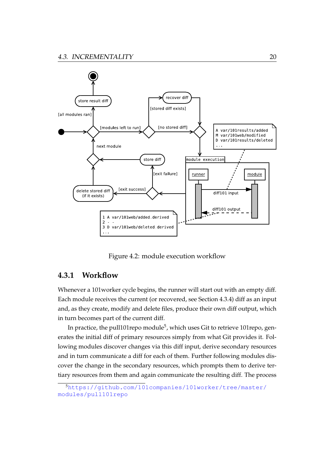

Figure 4.2: module execution workflow

### <span id="page-26-1"></span><span id="page-26-0"></span>**4.3.1 Workflow**

Whenever a 101worker cycle begins, the runner will start out with an empty diff. Each module receives the current (or recovered, see Section [4.3.4\)](#page-28-1) diff as an input and, as they create, modify and delete files, produce their own diff output, which in turn becomes part of the current diff.

In practice, the pull101repo module $^5$  $^5$ , which uses Git to retrieve 101repo, generates the initial diff of primary resources simply from what Git provides it. Following modules discover changes via this diff input, derive secondary resources and in turn communicate a diff for each of them. Further following modules discover the change in the secondary resources, which prompts them to derive tertiary resources from them and again communicate the resulting diff. The process

<span id="page-26-2"></span><sup>5</sup>[https://github.com/101companies/101worker/tree/master/](https://github.com/101companies/101worker/tree/master/modules/pull101repo) [modules/pull101repo](https://github.com/101companies/101worker/tree/master/modules/pull101repo)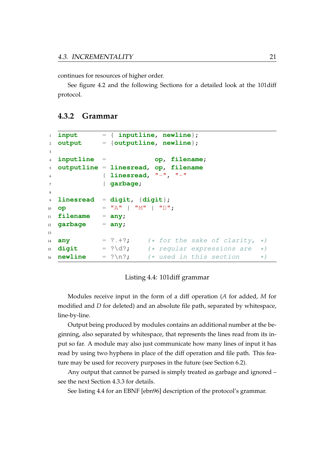continues for resources of higher order.

See figure [4.2](#page-26-1) and the following Sections for a detailed look at the 101diff protocol.

### <span id="page-27-0"></span>**4.3.2 Grammar**

```
1 input = { inputline, newline};
2 output = {outputline, newline};
3
4 inputline = op, filename;
5 outputline = linesread, op, filename
6 | linesread, "-", "-"
7 | garbage;
8
9 linesread = digit, {digit};
10 op = "A" | "M" | "D";
11 filename = any;
12 garbage = any;
13
14 any = ?. + ?; (* for the sake of clarity, *)
15 digit = ? \d{?}; (* regular expressions are *)
16 newline = ?\n  \longrightarrow \n  *_1 \n  *_2 \n  is section  \n  *_1
```
#### Listing 4.4: 101diff grammar

<span id="page-27-1"></span>Modules receive input in the form of a diff operation (*A* for added, *M* for modified and *D* for deleted) and an absolute file path, separated by whitespace, line-by-line.

Output being produced by modules contains an additional number at the beginning, also separated by whitespace, that represents the lines read from its input so far. A module may also just communicate how many lines of input it has read by using two hyphens in place of the diff operation and file path. This feature may be used for recovery purposes in the future (see Section [6.2\)](#page-33-2).

Any output that cannot be parsed is simply treated as garbage and ignored – see the next Section [4.3.3](#page-28-0) for details.

See listing [4.4](#page-27-1) for an EBNF [\[ebn96\]](#page-35-7) description of the protocol's grammar.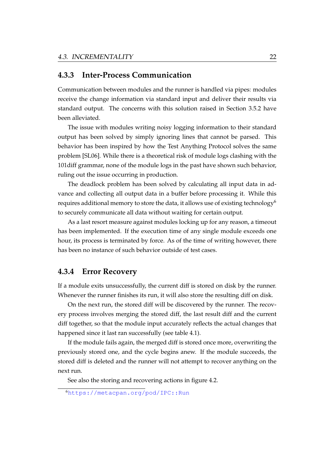### <span id="page-28-0"></span>**4.3.3 Inter-Process Communication**

Communication between modules and the runner is handled via pipes: modules receive the change information via standard input and deliver their results via standard output. The concerns with this solution raised in Section [3.5.2](#page-18-0) have been alleviated.

The issue with modules writing noisy logging information to their standard output has been solved by simply ignoring lines that cannot be parsed. This behavior has been inspired by how the Test Anything Protocol solves the same problem [\[SL06\]](#page-36-8). While there is a theoretical risk of module logs clashing with the 101diff grammar, none of the module logs in the past have shown such behavior, ruling out the issue occurring in production.

The deadlock problem has been solved by calculating all input data in advance and collecting all output data in a buffer before processing it. While this requires additional memory to store the data, it allows use of existing technology<sup>[6](#page-28-2)</sup> to securely communicate all data without waiting for certain output.

As a last resort measure against modules locking up for any reason, a timeout has been implemented. If the execution time of any single module exceeds one hour, its process is terminated by force. As of the time of writing however, there has been no instance of such behavior outside of test cases.

#### <span id="page-28-1"></span>**4.3.4 Error Recovery**

If a module exits unsuccessfully, the current diff is stored on disk by the runner. Whenever the runner finishes its run, it will also store the resulting diff on disk.

On the next run, the stored diff will be discovered by the runner. The recovery process involves merging the stored diff, the last result diff and the current diff together, so that the module input accurately reflects the actual changes that happened since it last ran successfully (see table [4.1\)](#page-29-1).

If the module fails again, the merged diff is stored once more, overwriting the previously stored one, and the cycle begins anew. If the module succeeds, the stored diff is deleted and the runner will not attempt to recover anything on the next run.

See also the storing and recovering actions in figure [4.2.](#page-26-1)

<span id="page-28-2"></span><sup>6</sup><https://metacpan.org/pod/IPC::Run>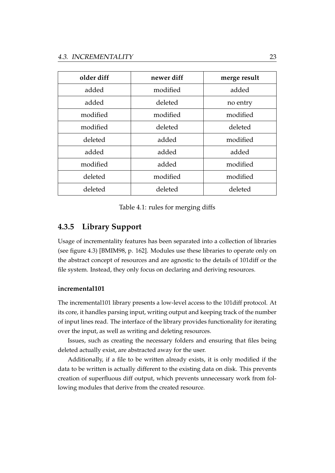| older diff | newer diff | merge result |
|------------|------------|--------------|
| added      | modified   | added        |
| added      | deleted    | no entry     |
| modified   | modified   | modified     |
| modified   | deleted    | deleted      |
| deleted    | added      | modified     |
| added      | added      | added        |
| modified   | added      | modified     |
| deleted    | modified   | modified     |
| deleted    | deleted    | deleted      |

#### Table 4.1: rules for merging diffs

### <span id="page-29-1"></span><span id="page-29-0"></span>**4.3.5 Library Support**

Usage of incrementality features has been separated into a collection of libraries (see figure [4.3\)](#page-30-0) [\[BMIM98,](#page-35-2) p. 162]. Modules use these libraries to operate only on the abstract concept of resources and are agnostic to the details of 101diff or the file system. Instead, they only focus on declaring and deriving resources.

#### <span id="page-29-2"></span>**incremental101**

The incremental101 library presents a low-level access to the 101diff protocol. At its core, it handles parsing input, writing output and keeping track of the number of input lines read. The interface of the library provides functionality for iterating over the input, as well as writing and deleting resources.

Issues, such as creating the necessary folders and ensuring that files being deleted actually exist, are abstracted away for the user.

Additionally, if a file to be written already exists, it is only modified if the data to be written is actually different to the existing data on disk. This prevents creation of superfluous diff output, which prevents unnecessary work from following modules that derive from the created resource.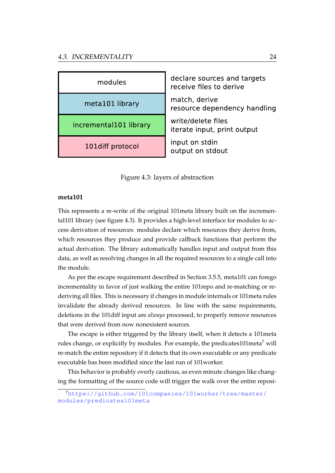

Figure 4.3: layers of abstraction

#### <span id="page-30-0"></span>**meta101**

This represents a re-write of the original 101meta library built on the incremental101 library (see figure [4.3\)](#page-30-0). It provides a high-level interface for modules to access derivation of resources: modules declare which resources they derive from, which resources they produce and provide callback functions that perform the actual derivation. The library automatically handles input and output from this data, as well as resolving changes in all the required resources to a single call into the module.

As per the escape requirement described in Section [3.5.5,](#page-20-0) meta101 can forego incrementality in favor of just walking the entire 101repo and re-matching or rederiving all files. This is necessary if changes in module internals or 101meta rules invalidate the already derived resources. In line with the same requirements, deletions in the 101diff input are *always* processed, to properly remove resources that were derived from now nonexistent sources.

The escape is either triggered by the library itself, when it detects a 101meta rules change, or explicitly by modules. For example, the predicates101 meta<sup>[7](#page-30-1)</sup> will re-match the entire repository if it detects that its own executable or any predicate executable has been modified since the last run of 101worker.

This behavior is probably overly cautious, as even minute changes like changing the formatting of the source code will trigger the walk over the entire reposi-

<span id="page-30-1"></span><sup>7</sup>[https://github.com/101companies/101worker/tree/master/](https://github.com/101companies/101worker/tree/master/modules/predicates101meta) [modules/predicates101meta](https://github.com/101companies/101worker/tree/master/modules/predicates101meta)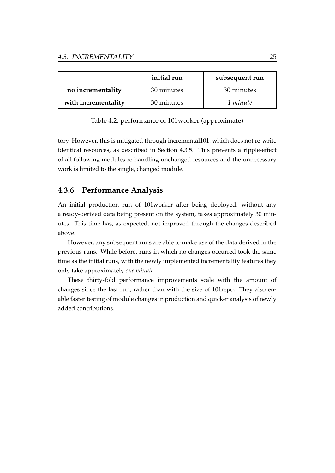<span id="page-31-1"></span>

|                     | initial run | subsequent run |
|---------------------|-------------|----------------|
| no incrementality   | 30 minutes  | 30 minutes     |
| with incrementality | 30 minutes  | 1 minute       |

Table 4.2: performance of 101worker (approximate)

tory. However, this is mitigated through incremental101, which does not re-write identical resources, as described in Section [4.3.5.](#page-29-2) This prevents a ripple-effect of all following modules re-handling unchanged resources and the unnecessary work is limited to the single, changed module.

### <span id="page-31-0"></span>**4.3.6 Performance Analysis**

An initial production run of 101worker after being deployed, without any already-derived data being present on the system, takes approximately 30 minutes. This time has, as expected, not improved through the changes described above.

However, any subsequent runs are able to make use of the data derived in the previous runs. While before, runs in which no changes occurred took the same time as the initial runs, with the newly implemented incrementality features they only take approximately *one minute*.

These thirty-fold performance improvements scale with the amount of changes since the last run, rather than with the size of 101repo. They also enable faster testing of module changes in production and quicker analysis of newly added contributions.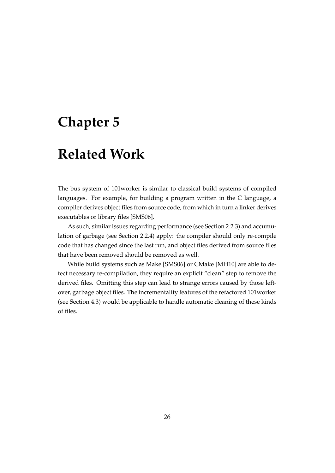## <span id="page-32-0"></span>**Chapter 5**

## **Related Work**

The bus system of 101worker is similar to classical build systems of compiled languages. For example, for building a program written in the C language, a compiler derives object files from source code, from which in turn a linker derives executables or library files [\[SMS06\]](#page-36-4).

As such, similar issues regarding performance (see Section [2.2.3\)](#page-12-1) and accumulation of garbage (see Section [2.2.4\)](#page-12-2) apply: the compiler should only re-compile code that has changed since the last run, and object files derived from source files that have been removed should be removed as well.

While build systems such as Make [\[SMS06\]](#page-36-4) or CMake [\[MH10\]](#page-36-9) are able to detect necessary re-compilation, they require an explicit "clean" step to remove the derived files. Omitting this step can lead to strange errors caused by those leftover, garbage object files. The incrementality features of the refactored 101worker (see Section [4.3\)](#page-25-0) would be applicable to handle automatic cleaning of these kinds of files.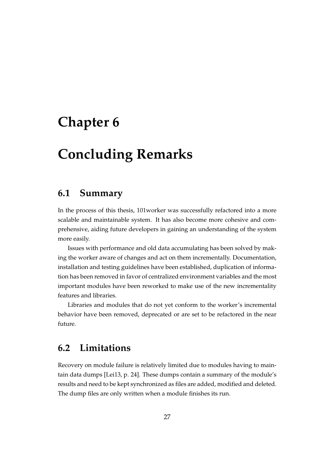## <span id="page-33-0"></span>**Chapter 6**

# **Concluding Remarks**

## <span id="page-33-1"></span>**6.1 Summary**

In the process of this thesis, 101worker was successfully refactored into a more scalable and maintainable system. It has also become more cohesive and comprehensive, aiding future developers in gaining an understanding of the system more easily.

Issues with performance and old data accumulating has been solved by making the worker aware of changes and act on them incrementally. Documentation, installation and testing guidelines have been established, duplication of information has been removed in favor of centralized environment variables and the most important modules have been reworked to make use of the new incrementality features and libraries.

Libraries and modules that do not yet conform to the worker's incremental behavior have been removed, deprecated or are set to be refactored in the near future.

## <span id="page-33-2"></span>**6.2 Limitations**

Recovery on module failure is relatively limited due to modules having to maintain data dumps [\[Lei13,](#page-36-2) p. 24]. These dumps contain a summary of the module's results and need to be kept synchronized as files are added, modified and deleted. The dump files are only written when a module finishes its run.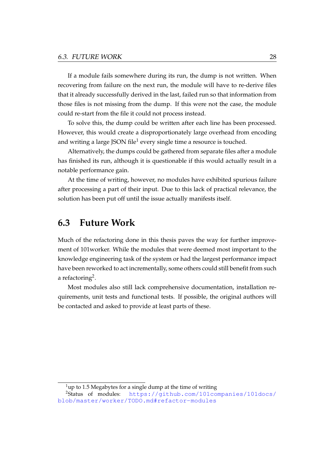If a module fails somewhere during its run, the dump is not written. When recovering from failure on the next run, the module will have to re-derive files that it already successfully derived in the last, failed run so that information from those files is not missing from the dump. If this were not the case, the module could re-start from the file it could not process instead.

To solve this, the dump could be written after each line has been processed. However, this would create a disproportionately large overhead from encoding and writing a large JSON file $^{\rm l}$  every single time a resource is touched.

Alternatively, the dumps could be gathered from separate files after a module has finished its run, although it is questionable if this would actually result in a notable performance gain.

At the time of writing, however, no modules have exhibited spurious failure after processing a part of their input. Due to this lack of practical relevance, the solution has been put off until the issue actually manifests itself.

### <span id="page-34-0"></span>**6.3 Future Work**

Much of the refactoring done in this thesis paves the way for further improvement of 101worker. While the modules that were deemed most important to the knowledge engineering task of the system or had the largest performance impact have been reworked to act incrementally, some others could still benefit from such a refactoring $^2$  $^2$ .

Most modules also still lack comprehensive documentation, installation requirements, unit tests and functional tests. If possible, the original authors will be contacted and asked to provide at least parts of these.

<span id="page-34-2"></span><span id="page-34-1"></span> $1$ up to 1.5 Megabytes for a single dump at the time of writing

<sup>2</sup>Status of modules: [https://github.com/101companies/101docs/](https://github.com/101companies/101docs/blob/master/worker/TODO.md#refactor-modules) [blob/master/worker/TODO.md#refactor-modules](https://github.com/101companies/101docs/blob/master/worker/TODO.md#refactor-modules)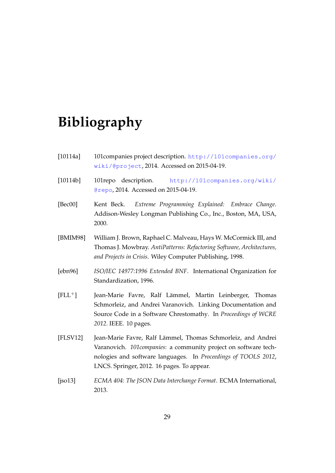## **Bibliography**

- <span id="page-35-3"></span>[10114a] 101companies project description. [http://101companies.org/](http://101companies.org/wiki/@project) [wiki/@project](http://101companies.org/wiki/@project), 2014. Accessed on 2015-04-19.
- <span id="page-35-4"></span>[10114b] 101repo description. [http://101companies.org/wiki/](http://101companies.org/wiki/@repo) [@repo](http://101companies.org/wiki/@repo), 2014. Accessed on 2015-04-19.
- <span id="page-35-6"></span>[Bec00] Kent Beck. *Extreme Programming Explained: Embrace Change*. Addison-Wesley Longman Publishing Co., Inc., Boston, MA, USA, 2000.
- <span id="page-35-2"></span>[BMIM98] William J. Brown, Raphael C. Malveau, Hays W. McCormick III, and Thomas J. Mowbray. *AntiPatterns: Refactoring Software, Architectures, and Projects in Crisis*. Wiley Computer Publishing, 1998.
- <span id="page-35-7"></span>[ebn96] *ISO/IEC 14977:1996 Extended BNF*. International Organization for Standardization, 1996.
- <span id="page-35-1"></span>[FLL<sup>+</sup>] Jean-Marie Favre, Ralf Lämmel, Martin Leinberger, Thomas Schmorleiz, and Andrei Varanovich. Linking Documentation and Source Code in a Software Chrestomathy. In *Proceedings of WCRE 2012*. IEEE. 10 pages.
- <span id="page-35-0"></span>[FLSV12] Jean-Marie Favre, Ralf Lämmel, Thomas Schmorleiz, and Andrei Varanovich. *101companies*: a community project on software technologies and software languages. In *Proceedings of TOOLS 2012*, LNCS. Springer, 2012. 16 pages. To appear.
- <span id="page-35-5"></span>[jso13] *ECMA 404: The JSON Data Interchange Format*. ECMA International, 2013.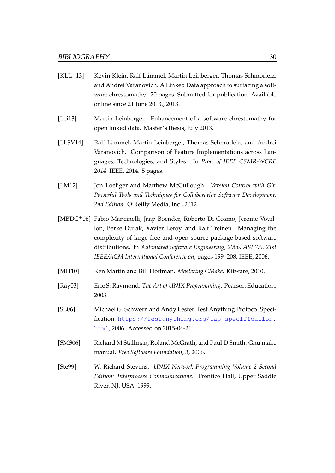- <span id="page-36-3"></span> $[KLL<sup>+</sup>13]$  Kevin Klein, Ralf Lämmel, Martin Leinberger, Thomas Schmorleiz, and Andrei Varanovich. A Linked Data approach to surfacing a software chrestomathy. 20 pages. Submitted for publication. Available online since 21 June 2013., 2013.
- <span id="page-36-2"></span>[Lei13] Martin Leinberger. Enhancement of a software chrestomathy for open linked data. Master's thesis, July 2013.
- <span id="page-36-1"></span>[LLSV14] Ralf Lämmel, Martin Leinberger, Thomas Schmorleiz, and Andrei Varanovich. Comparison of Feature Implementations across Languages, Technologies, and Styles. In *Proc. of IEEE CSMR-WCRE 2014*. IEEE, 2014. 5 pages.
- <span id="page-36-0"></span>[LM12] Jon Loeliger and Matthew McCullough. *Version Control with Git: Powerful Tools and Techniques for Collaborative Software Development, 2nd Edition*. O'Reilly Media, Inc., 2012.
- <span id="page-36-6"></span>[MBDC+06] Fabio Mancinelli, Jaap Boender, Roberto Di Cosmo, Jerome Vouillon, Berke Durak, Xavier Leroy, and Ralf Treinen. Managing the complexity of large free and open source package-based software distributions. In *Automated Software Engineering, 2006. ASE'06. 21st IEEE/ACM International Conference on*, pages 199–208. IEEE, 2006.
- <span id="page-36-9"></span>[MH10] Ken Martin and Bill Hoffman. *Mastering CMake*. Kitware, 2010.
- <span id="page-36-5"></span>[Ray03] Eric S. Raymond. *The Art of UNIX Programming*. Pearson Education, 2003.
- <span id="page-36-8"></span>[SL06] Michael G. Schwern and Andy Lester. Test Anything Protocol Specification. [https://testanything.org/tap-specification.](https://testanything.org/tap-specification.html) [html](https://testanything.org/tap-specification.html), 2006. Accessed on 2015-04-21.
- <span id="page-36-4"></span>[SMS06] Richard M Stallman, Roland McGrath, and Paul D Smith. Gnu make manual. *Free Software Foundation*, 3, 2006.
- <span id="page-36-7"></span>[Ste99] W. Richard Stevens. *UNIX Network Programming Volume 2 Second Edition: Interprocess Communications*. Prentice Hall, Upper Saddle River, NJ, USA, 1999.